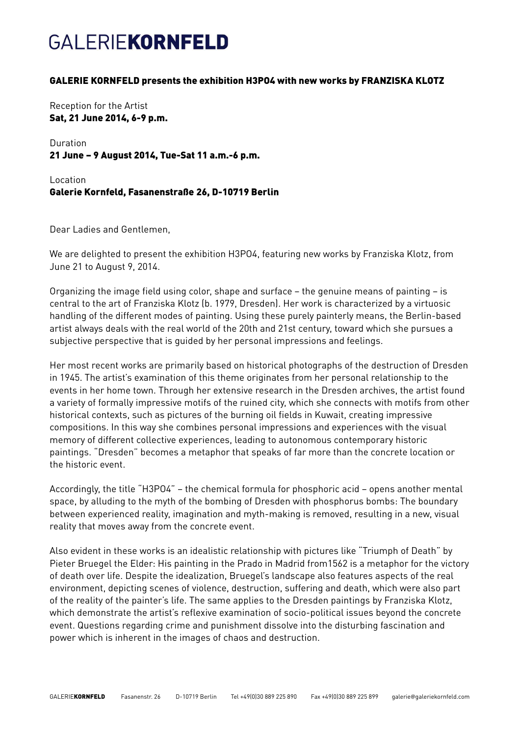## **GALERIEKORNFELD**

### GALERIE KORNFELD presents the exhibition H3PO4 with new works by FRANZISKA KLOTZ

Reception for the Artist Sat, 21 June 2014, 6-9 p.m.

Duration 21 June – 9 August 2014, Tue-Sat 11 a.m.-6 p.m.

Location Galerie Kornfeld, Fasanenstraße 26, D-10719 Berlin

Dear Ladies and Gentlemen,

We are delighted to present the exhibition H3PO4, featuring new works by Franziska Klotz, from June 21 to August 9, 2014.

Organizing the image field using color, shape and surface – the genuine means of painting – is central to the art of Franziska Klotz (b. 1979, Dresden). Her work is characterized by a virtuosic handling of the different modes of painting. Using these purely painterly means, the Berlin-based artist always deals with the real world of the 20th and 21st century, toward which she pursues a subjective perspective that is guided by her personal impressions and feelings.

Her most recent works are primarily based on historical photographs of the destruction of Dresden in 1945. The artist's examination of this theme originates from her personal relationship to the events in her home town. Through her extensive research in the Dresden archives, the artist found a variety of formally impressive motifs of the ruined city, which she connects with motifs from other historical contexts, such as pictures of the burning oil fields in Kuwait, creating impressive compositions. In this way she combines personal impressions and experiences with the visual memory of different collective experiences, leading to autonomous contemporary historic paintings. "Dresden" becomes a metaphor that speaks of far more than the concrete location or the historic event.

Accordingly, the title "H3PO4" – the chemical formula for phosphoric acid – opens another mental space, by alluding to the myth of the bombing of Dresden with phosphorus bombs: The boundary between experienced reality, imagination and myth-making is removed, resulting in a new, visual reality that moves away from the concrete event.

Also evident in these works is an idealistic relationship with pictures like "Triumph of Death" by Pieter Bruegel the Elder: His painting in the Prado in Madrid from1562 is a metaphor for the victory of death over life. Despite the idealization, Bruegel's landscape also features aspects of the real environment, depicting scenes of violence, destruction, suffering and death, which were also part of the reality of the painter's life. The same applies to the Dresden paintings by Franziska Klotz, which demonstrate the artist's reflexive examination of socio-political issues beyond the concrete event. Questions regarding crime and punishment dissolve into the disturbing fascination and power which is inherent in the images of chaos and destruction.